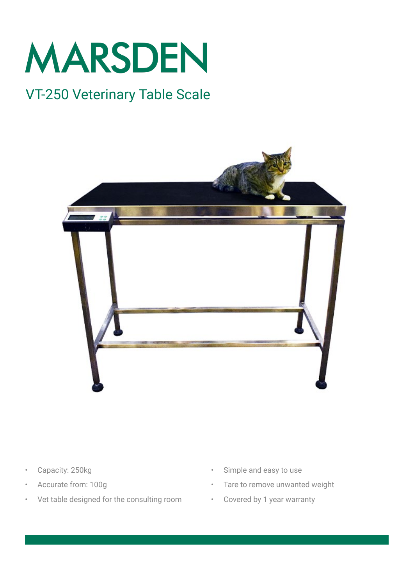

# VT-250 Veterinary Table Scale



- Capacity: 250kg
- Accurate from: 100g
- Vet table designed for the consulting room
- Simple and easy to use
- Tare to remove unwanted weight
- Covered by 1 year warranty